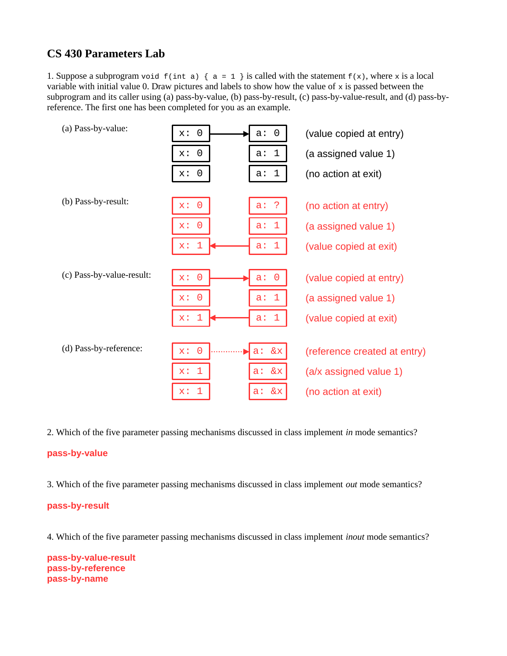## **CS 430 Parameters Lab**

1. Suppose a subprogram void  $f(int a) \{ a = 1 \}$  is called with the statement  $f(x)$ , where x is a local variable with initial value 0. Draw pictures and labels to show how the value of x is passed between the subprogram and its caller using (a) pass-by-value, (b) pass-by-result, (c) pass-by-value-result, and (d) pass-byreference. The first one has been completed for you as an example.

| (a) Pass-by-value:        | $\Theta$<br>$\Theta$<br>x:<br>$a$ : | (value copied at entry)      |
|---------------------------|-------------------------------------|------------------------------|
|                           | $\Theta$<br>a: 1<br>x:              | (a assigned value 1)         |
|                           | x:<br>a: 1<br>$\Theta$              | (no action at exit)          |
| (b) Pass-by-result:       |                                     |                              |
|                           | $x: \Theta$<br>-?<br>$a$ :          | (no action at entry)         |
|                           | $x: \Theta$<br>a: 1                 | (a assigned value 1)         |
|                           | x: 1<br>a: 1                        | (value copied at exit)       |
|                           |                                     |                              |
| (c) Pass-by-value-result: | $x: \Theta$<br>$a: \theta$          | (value copied at entry)      |
|                           | $x: \Theta$<br>a: 1                 | (a assigned value 1)         |
|                           | $\mathbf{1}$<br>$x$ :<br>a: 1       | (value copied at exit)       |
|                           |                                     |                              |
| (d) Pass-by-reference:    | $x: \Theta$<br>a: & x               | (reference created at entry) |
|                           | $\mathbf{1}$<br>a: & x<br>$X$ :     | (a/x assigned value 1)       |
|                           | $x$ :<br>$\mathbf 1$<br>&x<br>$a$ : | (no action at exit)          |

2. Which of the five parameter passing mechanisms discussed in class implement *in* mode semantics?

## **pass-by-value**

3. Which of the five parameter passing mechanisms discussed in class implement *out* mode semantics?

## **pass-by-result**

4. Which of the five parameter passing mechanisms discussed in class implement *inout* mode semantics?

**pass-by-value-result pass-by-reference pass-by-name**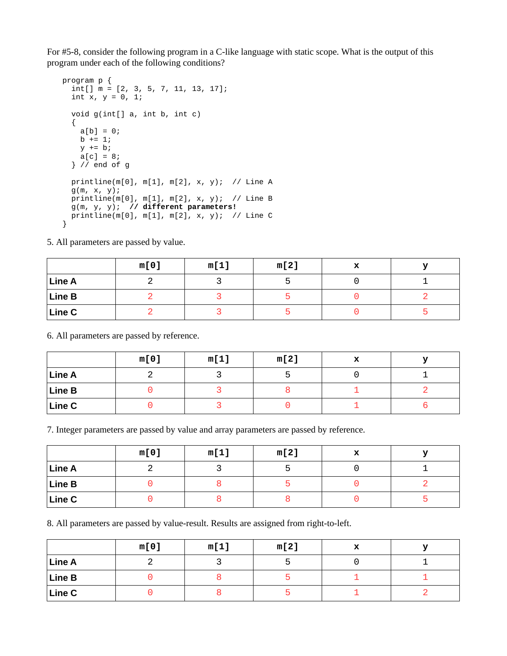For #5-8, consider the following program in a C-like language with static scope. What is the output of this program under each of the following conditions?

```
program p {
  int[] m = [2, 3, 5, 7, 11, 13, 17];
 int x, y = 0, 1; void g(int[] a, int b, int c)
   {
   a[b] = 0;b + 1;
   y \neq b;
   a[c] = 8;} // end of g
  printline(m[0], m[1], m[2], x, y); // Line A
  g(m, x, y);
 printline(m[0], m[1], m[2], x, y); // Line B
 g(m, y, y); // different parameters!
  printline(m[0], m[1], m[2], x, y); // Line C
}
```
5. All parameters are passed by value.

|               | m[0] | m[1] | m[2] |  |
|---------------|------|------|------|--|
| Line A        |      |      |      |  |
| Line B        |      |      |      |  |
| <b>Line C</b> |      |      |      |  |

6. All parameters are passed by reference.

|               | m[0] | m[1] | m[2] |  |
|---------------|------|------|------|--|
| <b>Line A</b> |      |      |      |  |
| Line B        |      |      |      |  |
| Line C        |      |      |      |  |

7. Integer parameters are passed by value and array parameters are passed by reference.

|        | m[0] | m[1] | m[2] |  |
|--------|------|------|------|--|
| Line A |      |      |      |  |
| Line B |      |      |      |  |
| Line C |      |      |      |  |

8. All parameters are passed by value-result. Results are assigned from right-to-left.

|               | m[0] | m[1] | m[2] | " |  |
|---------------|------|------|------|---|--|
| <b>Line A</b> |      |      |      |   |  |
| Line B        |      |      |      |   |  |
| Line C        |      |      |      |   |  |